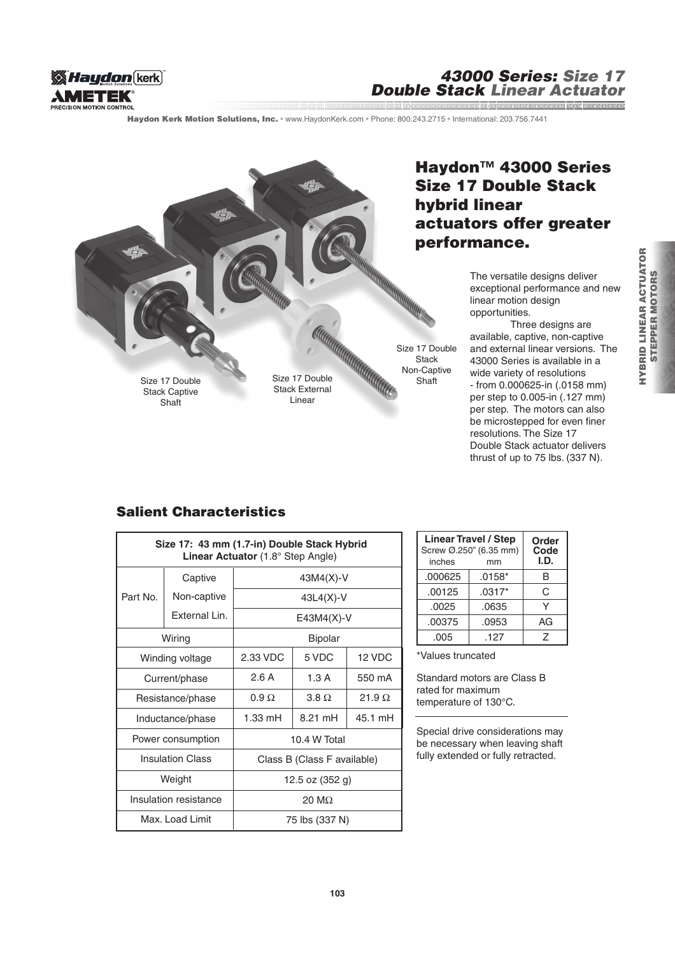

#### 43000 Series: Size 17 Double Stack Linear Actuator www.communication.com/www.communication.com/www.communication.com/www.communication.com/www.com/www.com/www.com

Haydon Kerk Motion Solutions, Inc. · www.HaydonKerk.com · Phone: 800.243.2715 · International: 203.756.7441



# Haydon<sup>™</sup> 43000 Series Size 17 Double Stack hybrid linear actuators offer greater performance.

The versatile designs deliver exceptional performance and new linear motion design opportunities.

 Three designs are available, captive, non-captive and external linear versions. The 43000 Series is available in a wide variety of resolutions - from 0.000625-in (.0158 mm) per step to 0.005-in (.127 mm) per step. The motors can also be microstepped for even finer resolutions. The Size 17 Double Stack actuator delivers thrust of up to 75 lbs. (337 N).

## Salient Characteristics

| Size 17: 43 mm (1.7-in) Double Stack Hybrid<br>Linear Actuator (1.8° Step Angle) |               |                             |             |               |  |
|----------------------------------------------------------------------------------|---------------|-----------------------------|-------------|---------------|--|
|                                                                                  | Captive       | 43M4(X)-V                   |             |               |  |
| Part No.                                                                         | Non-captive   | $43L4(X)-V$                 |             |               |  |
|                                                                                  | External Lin. |                             | E43M4(X)-V  |               |  |
| Wiring                                                                           |               | <b>Bipolar</b>              |             |               |  |
| Winding voltage                                                                  |               | 2.33 VDC                    | 5 VDC       | 12 VDC        |  |
| Current/phase                                                                    |               | 2.6 A                       | 1.3A        | 550 mA        |  |
| Resistance/phase                                                                 |               | $0.9 \Omega$                | $3.8\Omega$ | 21.9 $\Omega$ |  |
| Inductance/phase                                                                 |               | 1.33 mH                     | 8.21 mH     | 45.1 mH       |  |
| Power consumption                                                                |               | 10.4 W Total                |             |               |  |
| <b>Insulation Class</b>                                                          |               | Class B (Class F available) |             |               |  |
| Weight                                                                           |               | 12.5 oz (352 g)             |             |               |  |
| Insulation resistance                                                            |               | $20 \text{ M}\Omega$        |             |               |  |
| Max. Load Limit                                                                  |               | 75 lbs (337 N)              |             |               |  |

| <b>Linear Travel / Step</b><br>Screw Ø.250" (6.35 mm)<br>inches | Order<br>Code<br>I.D. |    |
|-----------------------------------------------------------------|-----------------------|----|
| .000625                                                         | $.0158*$              | B  |
| .00125                                                          | $.0317*$              | C  |
| .0025                                                           | .0635                 | v  |
| .00375                                                          | .0953                 | AG |
| .005                                                            | .127                  | 7  |

\*Values truncated

Standard motors are Class B rated for maximum temperature of 130°C.

Special drive considerations may be necessary when leaving shaft fully extended or fully retracted.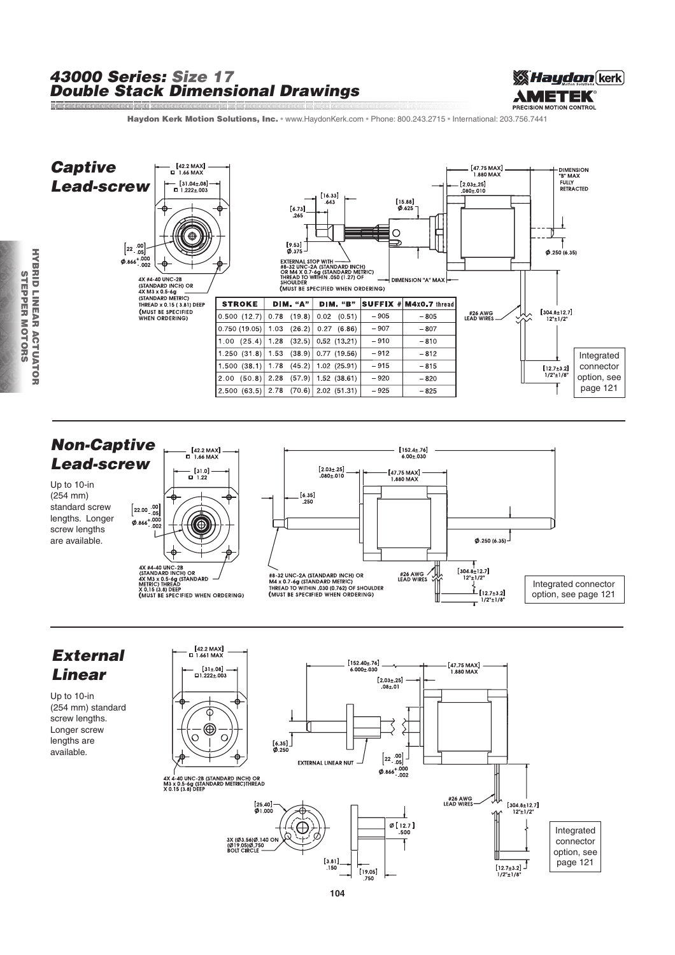#### 43000 Series: Size 17 Double Stack Dimensional Drawings



Haydon Kerk Motion Solutions, Inc. · www.HaydonKerk.com · Phone: 800.243.2715 · International: 203.756.7441







Up to 10-in

lengths are available.